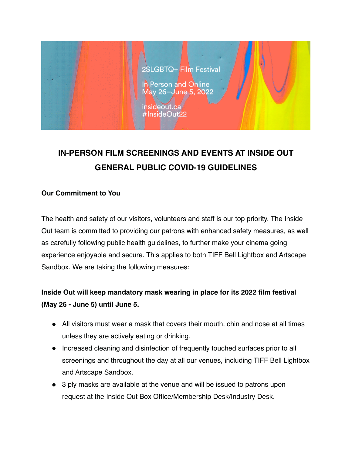

# **IN-PERSON FILM SCREENINGS AND EVENTS AT INSIDE OUT GENERAL PUBLIC COVID-19 GUIDELINES**

### **Our Commitment to You**

The health and safety of our visitors, volunteers and staff is our top priority. The Inside Out team is committed to providing our patrons with enhanced safety measures, as well as carefully following public health guidelines, to further make your cinema going experience enjoyable and secure. This applies to both TIFF Bell Lightbox and Artscape Sandbox. We are taking the following measures:

## **Inside Out will keep mandatory mask wearing in place for its 2022 film festival (May 26 - June 5) until June 5.**

- All visitors must wear a mask that covers their mouth, chin and nose at all times unless they are actively eating or drinking.
- Increased cleaning and disinfection of frequently touched surfaces prior to all screenings and throughout the day at all our venues, including TIFF Bell Lightbox and Artscape Sandbox.
- 3 ply masks are available at the venue and will be issued to patrons upon request at the Inside Out Box Office/Membership Desk/Industry Desk.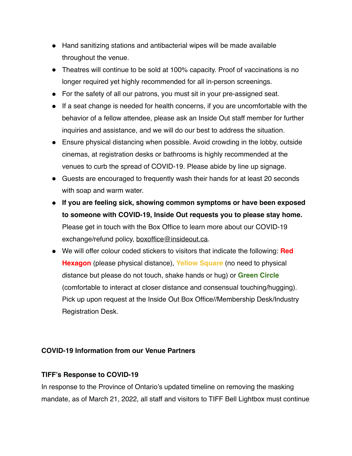- Hand sanitizing stations and antibacterial wipes will be made available throughout the venue.
- Theatres will continue to be sold at 100% capacity. Proof of vaccinations is no longer required yet highly recommended for all in-person screenings.
- For the safety of all our patrons, you must sit in your pre-assigned seat.
- If a seat change is needed for health concerns, if you are uncomfortable with the behavior of a fellow attendee, please ask an Inside Out staff member for further inquiries and assistance, and we will do our best to address the situation.
- Ensure physical distancing when possible. Avoid crowding in the lobby, outside cinemas, at registration desks or bathrooms is highly recommended at the venues to curb the spread of COVID-19. Please abide by line up signage.
- Guests are encouraged to frequently wash their hands for at least 20 seconds with soap and warm water.
- **If you are feeling sick, showing common symptoms or have been exposed to someone with COVID-19, Inside Out requests you to please stay home.** Please get in touch with the Box Office to learn more about our COVID-19 exchange/refund policy, [boxoffice@insideout.ca](mailto:boxoffice@insideout.ca).
- We will offer colour coded stickers to visitors that indicate the following: **Red Hexagon** (please physical distance), **Yellow Square** (no need to physical distance but please do not touch, shake hands or hug) or **Green Circle**  (comfortable to interact at closer distance and consensual touching/hugging). Pick up upon request at the Inside Out Box Office//Membership Desk/Industry Registration Desk.

### **COVID-19 Information from our Venue Partners**

### **TIFF's Response to COVID-19**

In response to the Province of Ontario's updated timeline on removing the masking mandate, as of March 21, 2022, all staff and visitors to TIFF Bell Lightbox must continue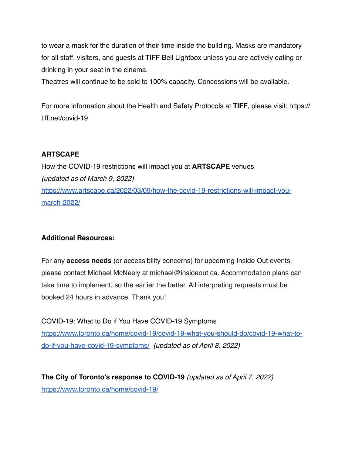to wear a mask for the duration of their time inside the building. Masks are mandatory for all staff, visitors, and guests at TIFF Bell Lightbox unless you are actively eating or drinking in your seat in the cinema.

Theatres will continue to be sold to 100% capacity. Concessions will be available.

For more information about the Health and Safety Protocols at **TIFF**, please visit: https:// tiff.net/covid-19

### **ARTSCAPE**

How the COVID-19 restrictions will impact you at **ARTSCAPE** venues *(updated as of March 9, 2022)* [https://www.artscape.ca/2022/03/09/how-the-covid-19-restrictions-will-impact-you](https://www.artscape.ca/2022/03/09/how-the-covid-19-restrictions-will-impact-you-march-2022/)[march-2022/](https://www.artscape.ca/2022/03/09/how-the-covid-19-restrictions-will-impact-you-march-2022/)

### **Additional Resources:**

For any **access needs** (or accessibility concerns) for upcoming Inside Out events, please contact Michael McNeely at michael@insideout.ca. Accommodation plans can take time to implement, so the earlier the better. All interpreting requests must be booked 24 hours in advance. Thank you!

COVID-19: What to Do if You Have COVID-19 Symptoms [https://www.toronto.ca/home/covid-19/covid-19-what-you-should-do/covid-19-what-to](https://www.toronto.ca/home/covid-19/covid-19-what-you-should-do/covid-19-what-to-do-if-you-have-covid-19-symptoms/)[do-if-you-have-covid-19-symptoms/](https://www.toronto.ca/home/covid-19/covid-19-what-you-should-do/covid-19-what-to-do-if-you-have-covid-19-symptoms/) *(updated as of April 8, 2022)*

**The City of Toronto's response to COVID-19** *(updated as of April 7, 2022)* <https://www.toronto.ca/home/covid-19/>